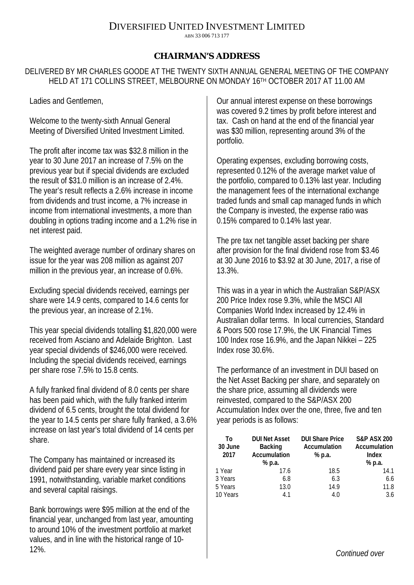## DIVERSIFIED UNITED INVESTMENT LIMITED

ABN 33 006 713 177

## **CHAIRMAN'S ADDRESS**

DELIVERED BY MR CHARLES GOODE AT THE TWENTY SIXTH ANNUAL GENERAL MEETING OF THE COMPANY HELD AT 171 COLLINS STREET, MELBOURNE ON MONDAY 16TH OCTOBER 2017 AT 11.00 AM

Ladies and Gentlemen,

Welcome to the twenty-sixth Annual General Meeting of Diversified United Investment Limited.

The profit after income tax was \$32.8 million in the year to 30 June 2017 an increase of 7.5% on the previous year but if special dividends are excluded the result of \$31.0 million is an increase of 2.4%. The year's result reflects a 2.6% increase in income from dividends and trust income, a 7% increase in income from international investments, a more than doubling in options trading income and a 1.2% rise in net interest paid.

The weighted average number of ordinary shares on issue for the year was 208 million as against 207 million in the previous year, an increase of 0.6%.

Excluding special dividends received, earnings per share were 14.9 cents, compared to 14.6 cents for the previous year, an increase of 2.1%.

This year special dividends totalling \$1,820,000 were received from Asciano and Adelaide Brighton. Last year special dividends of \$246,000 were received. Including the special dividends received, earnings per share rose 7.5% to 15.8 cents.

A fully franked final dividend of 8.0 cents per share has been paid which, with the fully franked interim dividend of 6.5 cents, brought the total dividend for the year to 14.5 cents per share fully franked, a 3.6% increase on last year's total dividend of 14 cents per share.

The Company has maintained or increased its dividend paid per share every year since listing in 1991, notwithstanding, variable market conditions and several capital raisings.

Bank borrowings were \$95 million at the end of the financial year, unchanged from last year, amounting to around 10% of the investment portfolio at market values, and in line with the historical range of 10- 12%.

Our annual interest expense on these borrowings was covered 9.2 times by profit before interest and tax. Cash on hand at the end of the financial year was \$30 million, representing around 3% of the portfolio.

Operating expenses, excluding borrowing costs, represented 0.12% of the average market value of the portfolio, compared to 0.13% last year. Including the management fees of the international exchange traded funds and small cap managed funds in which the Company is invested, the expense ratio was 0.15% compared to 0.14% last year.

The pre tax net tangible asset backing per share after provision for the final dividend rose from \$3.46 at 30 June 2016 to \$3.92 at 30 June, 2017, a rise of 13.3%.

This was in a year in which the Australian S&P/ASX 200 Price Index rose 9.3%, while the MSCI All Companies World Index increased by 12.4% in Australian dollar terms. In local currencies, Standard & Poors 500 rose 17.9%, the UK Financial Times 100 Index rose 16.9%, and the Japan Nikkei – 225 Index rose 30.6%.

The performance of an investment in DUI based on the Net Asset Backing per share, and separately on the share price, assuming all dividends were reinvested, compared to the S&P/ASX 200 Accumulation Index over the one, three, five and ten year periods is as follows:

| To<br>30 June<br>2017 | <b>DUI Net Asset</b><br><b>Backing</b><br>Accumulation<br>% p.a. | <b>DUI Share Price</b><br>Accumulation<br>% p.a. | <b>S&amp;P ASX 200</b><br>Accumulation<br>Index<br>% p.a. |
|-----------------------|------------------------------------------------------------------|--------------------------------------------------|-----------------------------------------------------------|
| 1 Year                | 17.6                                                             | 18.5                                             | 14.1                                                      |
| 3 Years               | 6.8                                                              | 6.3                                              | 6.6                                                       |
| 5 Years               | 13.0                                                             | 14.9                                             | 11.8                                                      |
| 10 Years              | 41                                                               | 4.0                                              | 3.6                                                       |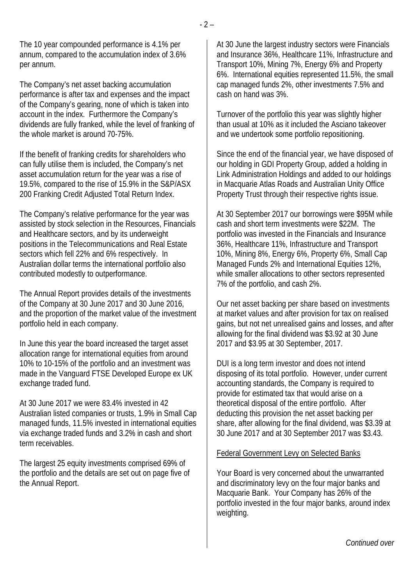The 10 year compounded performance is 4.1% per annum, compared to the accumulation index of 3.6% per annum.

The Company's net asset backing accumulation performance is after tax and expenses and the impact of the Company's gearing, none of which is taken into account in the index. Furthermore the Company's dividends are fully franked, while the level of franking of the whole market is around 70-75%.

If the benefit of franking credits for shareholders who can fully utilise them is included, the Company's net asset accumulation return for the year was a rise of 19.5%, compared to the rise of 15.9% in the S&P/ASX 200 Franking Credit Adjusted Total Return Index.

The Company's relative performance for the year was assisted by stock selection in the Resources, Financials and Healthcare sectors, and by its underweight positions in the Telecommunications and Real Estate sectors which fell 22% and 6% respectively. In Australian dollar terms the international portfolio also contributed modestly to outperformance.

The Annual Report provides details of the investments of the Company at 30 June 2017 and 30 June 2016, and the proportion of the market value of the investment portfolio held in each company.

In June this year the board increased the target asset allocation range for international equities from around 10% to 10-15% of the portfolio and an investment was made in the Vanguard FTSE Developed Europe ex UK exchange traded fund.

At 30 June 2017 we were 83.4% invested in 42 Australian listed companies or trusts, 1.9% in Small Cap managed funds, 11.5% invested in international equities via exchange traded funds and 3.2% in cash and short term receivables.

The largest 25 equity investments comprised 69% of the portfolio and the details are set out on page five of the Annual Report.

At 30 June the largest industry sectors were Financials and Insurance 36%, Healthcare 11%, Infrastructure and Transport 10%, Mining 7%, Energy 6% and Property 6%. International equities represented 11.5%, the small cap managed funds 2%, other investments 7.5% and cash on hand was 3%.

Turnover of the portfolio this year was slightly higher than usual at 10% as it included the Asciano takeover and we undertook some portfolio repositioning.

Since the end of the financial year, we have disposed of our holding in GDI Property Group, added a holding in Link Administration Holdings and added to our holdings in Macquarie Atlas Roads and Australian Unity Office Property Trust through their respective rights issue.

At 30 September 2017 our borrowings were \$95M while cash and short term investments were \$22M. The portfolio was invested in the Financials and Insurance 36%, Healthcare 11%, Infrastructure and Transport 10%, Mining 8%, Energy 6%, Property 6%, Small Cap Managed Funds 2% and International Equities 12%, while smaller allocations to other sectors represented 7% of the portfolio, and cash 2%.

Our net asset backing per share based on investments at market values and after provision for tax on realised gains, but not net unrealised gains and losses, and after allowing for the final dividend was \$3.92 at 30 June 2017 and \$3.95 at 30 September, 2017.

DUI is a long term investor and does not intend disposing of its total portfolio. However, under current accounting standards, the Company is required to provide for estimated tax that would arise on a theoretical disposal of the entire portfolio. After deducting this provision the net asset backing per share, after allowing for the final dividend, was \$3.39 at 30 June 2017 and at 30 September 2017 was \$3.43.

## Federal Government Levy on Selected Banks

Your Board is very concerned about the unwarranted and discriminatory levy on the four major banks and Macquarie Bank. Your Company has 26% of the portfolio invested in the four major banks, around index weighting.